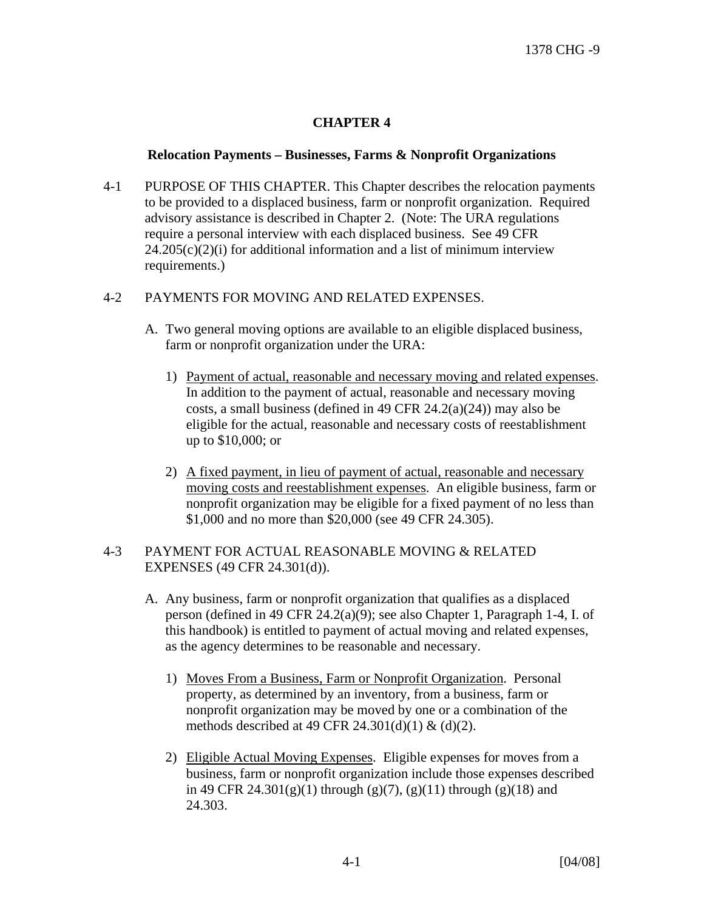## **CHAPTER 4**

## **Relocation Payments – Businesses, Farms & Nonprofit Organizations**

4-1 PURPOSE OF THIS CHAPTER. This Chapter describes the relocation payments to be provided to a displaced business, farm or nonprofit organization. Required advisory assistance is described in Chapter 2. (Note: The URA regulations require a personal interview with each displaced business. See 49 CFR  $24.205(c)(2)(i)$  for additional information and a list of minimum interview requirements.)

## 4-2 PAYMENTS FOR MOVING AND RELATED EXPENSES.

- A. Two general moving options are available to an eligible displaced business, farm or nonprofit organization under the URA:
	- 1) Payment of actual, reasonable and necessary moving and related expenses. In addition to the payment of actual, reasonable and necessary moving costs, a small business (defined in 49 CFR 24.2(a)(24)) may also be eligible for the actual, reasonable and necessary costs of reestablishment up to \$10,000; or
	- 2) A fixed payment, in lieu of payment of actual, reasonable and necessary moving costs and reestablishment expenses. An eligible business, farm or nonprofit organization may be eligible for a fixed payment of no less than \$1,000 and no more than \$20,000 (see 49 CFR 24.305).

## 4-3 PAYMENT FOR ACTUAL REASONABLE MOVING & RELATED EXPENSES (49 CFR 24.301(d)).

- A. Any business, farm or nonprofit organization that qualifies as a displaced person (defined in 49 CFR 24.2(a)(9); see also Chapter 1, Paragraph 1-4, I. of this handbook) is entitled to payment of actual moving and related expenses, as the agency determines to be reasonable and necessary.
	- 1) Moves From a Business, Farm or Nonprofit Organization. Personal property, as determined by an inventory, from a business, farm or nonprofit organization may be moved by one or a combination of the methods described at 49 CFR 24.301(d)(1) & (d)(2).
	- 2) Eligible Actual Moving Expenses. Eligible expenses for moves from a business, farm or nonprofit organization include those expenses described in 49 CFR 24.301(g)(1) through (g)(7), (g)(11) through (g)(18) and 24.303.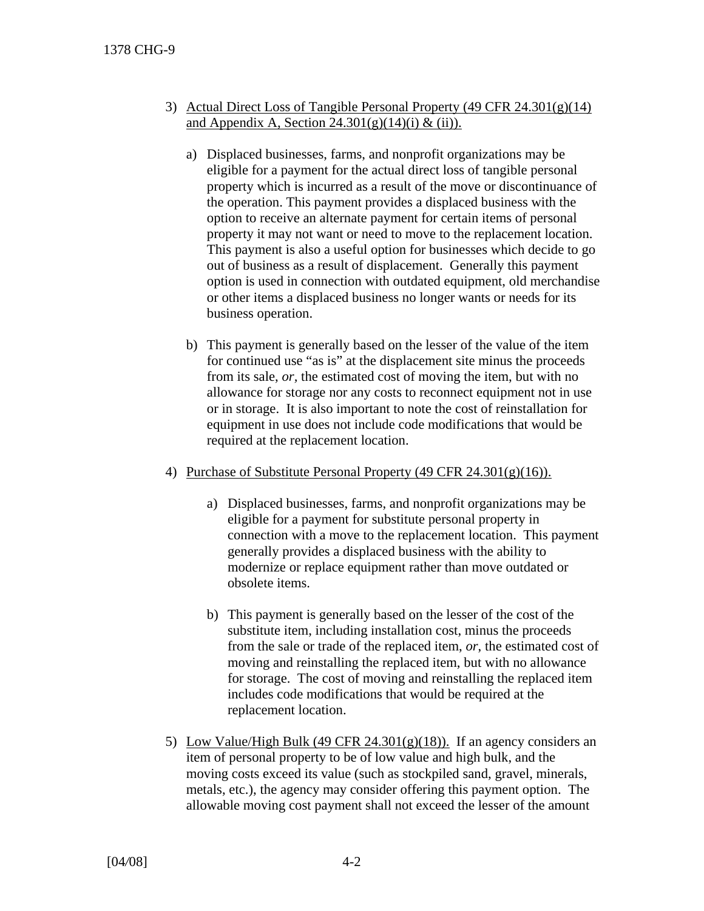- 3) Actual Direct Loss of Tangible Personal Property (49 CFR 24.301(g)(14) and Appendix A, Section  $24.301(g)(14)(i) \& (ii)$ ).
	- a) Displaced businesses, farms, and nonprofit organizations may be eligible for a payment for the actual direct loss of tangible personal property which is incurred as a result of the move or discontinuance of the operation. This payment provides a displaced business with the option to receive an alternate payment for certain items of personal property it may not want or need to move to the replacement location. This payment is also a useful option for businesses which decide to go out of business as a result of displacement. Generally this payment option is used in connection with outdated equipment, old merchandise or other items a displaced business no longer wants or needs for its business operation.
	- b) This payment is generally based on the lesser of the value of the item for continued use "as is" at the displacement site minus the proceeds from its sale, *or,* the estimated cost of moving the item, but with no allowance for storage nor any costs to reconnect equipment not in use or in storage. It is also important to note the cost of reinstallation for equipment in use does not include code modifications that would be required at the replacement location.
- 4) Purchase of Substitute Personal Property (49 CFR 24.301(g)(16)).
	- a) Displaced businesses, farms, and nonprofit organizations may be eligible for a payment for substitute personal property in connection with a move to the replacement location. This payment generally provides a displaced business with the ability to modernize or replace equipment rather than move outdated or obsolete items.
	- b) This payment is generally based on the lesser of the cost of the substitute item, including installation cost, minus the proceeds from the sale or trade of the replaced item, *or*, the estimated cost of moving and reinstalling the replaced item, but with no allowance for storage. The cost of moving and reinstalling the replaced item includes code modifications that would be required at the replacement location.
- 5) Low Value/High Bulk (49 CFR 24.301(g)(18)). If an agency considers an item of personal property to be of low value and high bulk, and the moving costs exceed its value (such as stockpiled sand, gravel, minerals, metals, etc.), the agency may consider offering this payment option. The allowable moving cost payment shall not exceed the lesser of the amount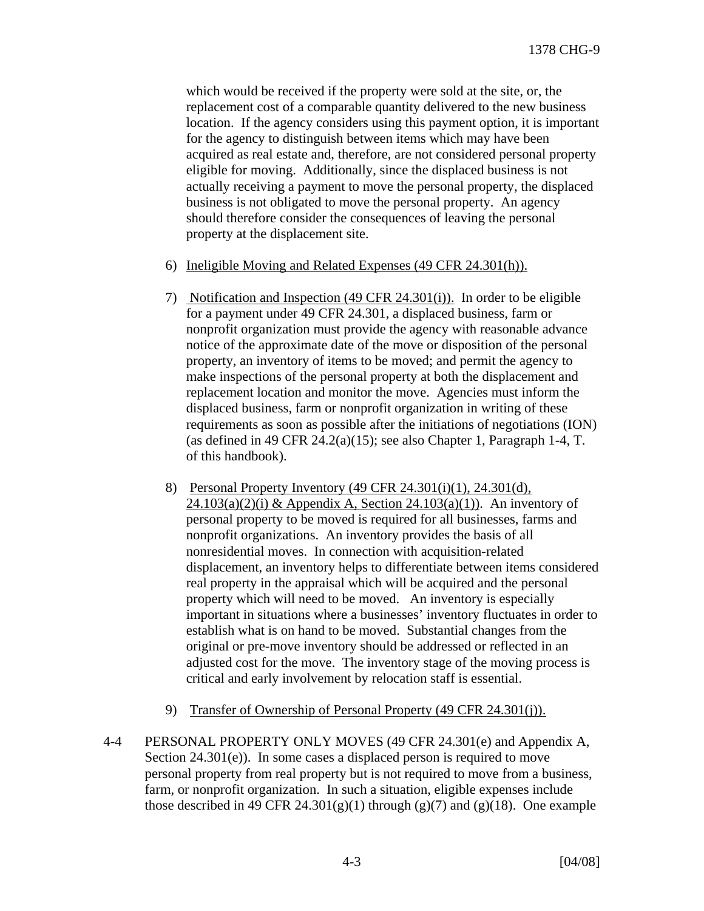which would be received if the property were sold at the site, or, the replacement cost of a comparable quantity delivered to the new business location. If the agency considers using this payment option, it is important for the agency to distinguish between items which may have been acquired as real estate and, therefore, are not considered personal property eligible for moving. Additionally, since the displaced business is not actually receiving a payment to move the personal property, the displaced business is not obligated to move the personal property. An agency should therefore consider the consequences of leaving the personal property at the displacement site.

- 6) Ineligible Moving and Related Expenses (49 CFR 24.301(h)).
- 7) Notification and Inspection (49 CFR 24.301(i)). In order to be eligible for a payment under 49 CFR 24.301, a displaced business, farm or nonprofit organization must provide the agency with reasonable advance notice of the approximate date of the move or disposition of the personal property, an inventory of items to be moved; and permit the agency to make inspections of the personal property at both the displacement and replacement location and monitor the move. Agencies must inform the displaced business, farm or nonprofit organization in writing of these requirements as soon as possible after the initiations of negotiations (ION) (as defined in 49 CFR 24.2(a)(15); see also Chapter 1, Paragraph 1-4, T. of this handbook).
- 8) Personal Property Inventory (49 CFR 24.301(i)(1), 24.301(d),  $24.103(a)(2)(i)$  & Appendix A, Section  $24.103(a)(1)$ . An inventory of personal property to be moved is required for all businesses, farms and nonprofit organizations. An inventory provides the basis of all nonresidential moves. In connection with acquisition-related displacement, an inventory helps to differentiate between items considered real property in the appraisal which will be acquired and the personal property which will need to be moved. An inventory is especially important in situations where a businesses' inventory fluctuates in order to establish what is on hand to be moved. Substantial changes from the original or pre-move inventory should be addressed or reflected in an adjusted cost for the move. The inventory stage of the moving process is critical and early involvement by relocation staff is essential.
- 9) Transfer of Ownership of Personal Property (49 CFR 24.301(j)).
- 4-4 PERSONAL PROPERTY ONLY MOVES (49 CFR 24.301(e) and Appendix A, Section 24.301(e)). In some cases a displaced person is required to move personal property from real property but is not required to move from a business, farm, or nonprofit organization. In such a situation, eligible expenses include those described in 49 CFR 24.301(g)(1) through (g)(7) and (g)(18). One example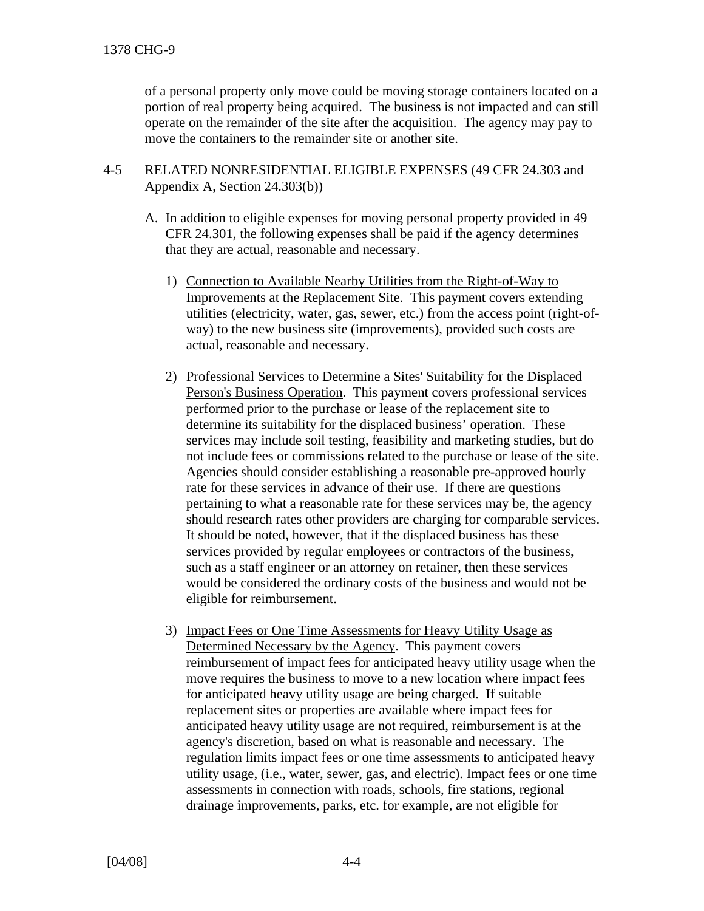of a personal property only move could be moving storage containers located on a portion of real property being acquired. The business is not impacted and can still operate on the remainder of the site after the acquisition. The agency may pay to move the containers to the remainder site or another site.

- 4-5 RELATED NONRESIDENTIAL ELIGIBLE EXPENSES (49 CFR 24.303 and Appendix A, Section 24.303(b))
	- A. In addition to eligible expenses for moving personal property provided in 49 CFR 24.301, the following expenses shall be paid if the agency determines that they are actual, reasonable and necessary.
		- 1) Connection to Available Nearby Utilities from the Right-of-Way to Improvements at the Replacement Site. This payment covers extending utilities (electricity, water, gas, sewer, etc.) from the access point (right-ofway) to the new business site (improvements), provided such costs are actual, reasonable and necessary.
		- 2) Professional Services to Determine a Sites' Suitability for the Displaced Person's Business Operation. This payment covers professional services performed prior to the purchase or lease of the replacement site to determine its suitability for the displaced business' operation. These services may include soil testing, feasibility and marketing studies, but do not include fees or commissions related to the purchase or lease of the site. Agencies should consider establishing a reasonable pre-approved hourly rate for these services in advance of their use. If there are questions pertaining to what a reasonable rate for these services may be, the agency should research rates other providers are charging for comparable services. It should be noted, however, that if the displaced business has these services provided by regular employees or contractors of the business, such as a staff engineer or an attorney on retainer, then these services would be considered the ordinary costs of the business and would not be eligible for reimbursement.
		- 3) Impact Fees or One Time Assessments for Heavy Utility Usage as Determined Necessary by the Agency. This payment covers reimbursement of impact fees for anticipated heavy utility usage when the move requires the business to move to a new location where impact fees for anticipated heavy utility usage are being charged. If suitable replacement sites or properties are available where impact fees for anticipated heavy utility usage are not required, reimbursement is at the agency's discretion, based on what is reasonable and necessary. The regulation limits impact fees or one time assessments to anticipated heavy utility usage, (i.e., water, sewer, gas, and electric). Impact fees or one time assessments in connection with roads, schools, fire stations, regional drainage improvements, parks, etc. for example, are not eligible for